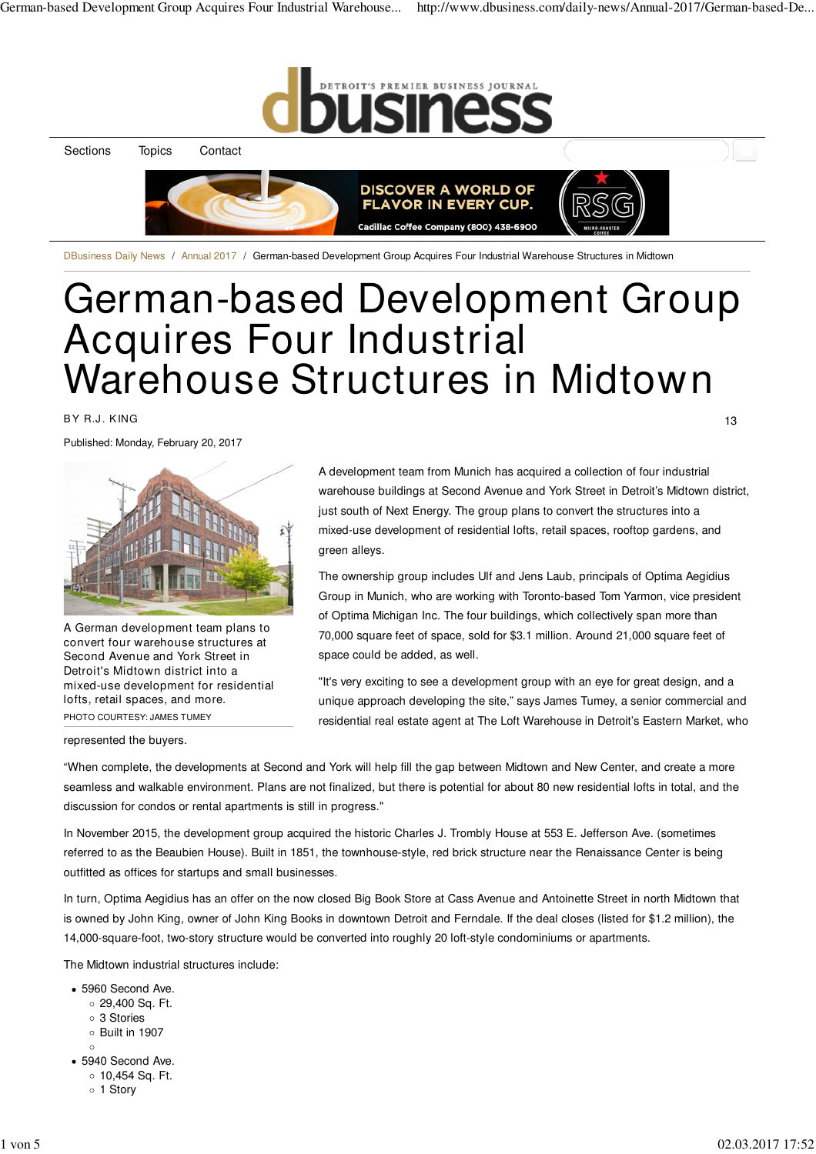

DBusiness Daily News / Annual 2017 / German-based Development Group Acquires Four Industrial Warehouse Structures in Midtown

## German-based Development Group Acquires Four Industrial Warehouse Structures in Midtown

BY R.J. KING

Published: Monday, February 20, 2017



A German development team plans to convert four warehouse structures at Second Avenue and York Street in Detroit's Midtown district into a mixed-use development for residential lofts, retail spaces, and more. PHOTO COURTESY: JAMES TUMEY

represented the buyers.

A development team from Munich has acquired a collection of four industrial warehouse buildings at Second Avenue and York Street in Detroit's Midtown district, just south of Next Energy. The group plans to convert the structures into a mixed-use development of residential lofts, retail spaces, rooftop gardens, and green alleys.

The ownership group includes Ulf and Jens Laub, principals of Optima Aegidius Group in Munich, who are working with Toronto-based Tom Yarmon, vice president of Optima Michigan Inc. The four buildings, which collectively span more than 70,000 square feet of space, sold for \$3.1 million. Around 21,000 square feet of space could be added, as well.

"It's very exciting to see a development group with an eye for great design, and a unique approach developing the site," says James Tumey, a senior commercial and residential real estate agent at The Loft Warehouse in Detroit's Eastern Market, who

"When complete, the developments at Second and York will help fill the gap between Midtown and New Center, and create a more seamless and walkable environment. Plans are not finalized, but there is potential for about 80 new residential lofts in total, and the discussion for condos or rental apartments is still in progress."

In November 2015, the development group acquired the historic Charles J. Trombly House at 553 E. Jefferson Ave. (sometimes referred to as the Beaubien House). Built in 1851, the townhouse-style, red brick structure near the Renaissance Center is being outfitted as offices for startups and small businesses.

In turn, Optima Aegidius has an offer on the now closed Big Book Store at Cass Avenue and Antoinette Street in north Midtown that is owned by John King, owner of John King Books in downtown Detroit and Ferndale. If the deal closes (listed for \$1.2 million), the 14,000-square-foot, two-story structure would be converted into roughly 20 loft-style condominiums or apartments.

The Midtown industrial structures include:

- 5960 Second Ave. 29,400 Sq. Ft. 3 Stories Built in 1907
- 5940 Second Ave.
	- 10,454 Sq. Ft.
	- o 1 Story

13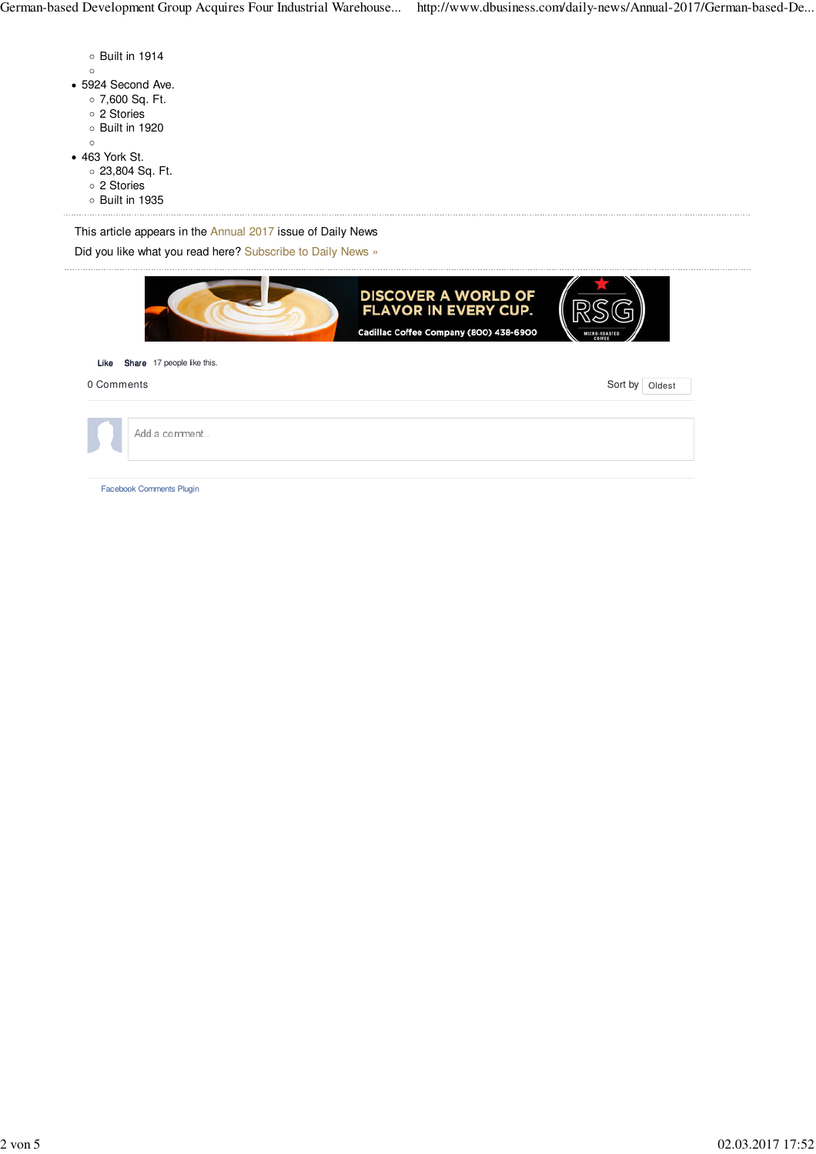| $\circ$ Built in 1914<br>• 5924 Second Ave.<br>$\circ$ 7,600 Sq. Ft.<br>o 2 Stories<br>$\circ$ Built in 1920<br>$\circ$<br>• 463 York St.<br>$\circ$ 23,804 Sq. Ft.<br>o 2 Stories<br>$\circ$ Built in 1935 |                |
|-------------------------------------------------------------------------------------------------------------------------------------------------------------------------------------------------------------|----------------|
| This article appears in the Annual 2017 issue of Daily News<br>Did you like what you read here? Subscribe to Daily News »                                                                                   |                |
| <b>DISCOVER A WORLD OF</b><br>FLAVOR IN EVERY CUP.<br>Cadillac Coffee Company (800) 438-6900                                                                                                                |                |
| Share 17 people like this.<br>Like                                                                                                                                                                          |                |
| 0 Comments                                                                                                                                                                                                  | Sort by Oldest |
| Add a comment                                                                                                                                                                                               |                |

Facebook Comments Plugin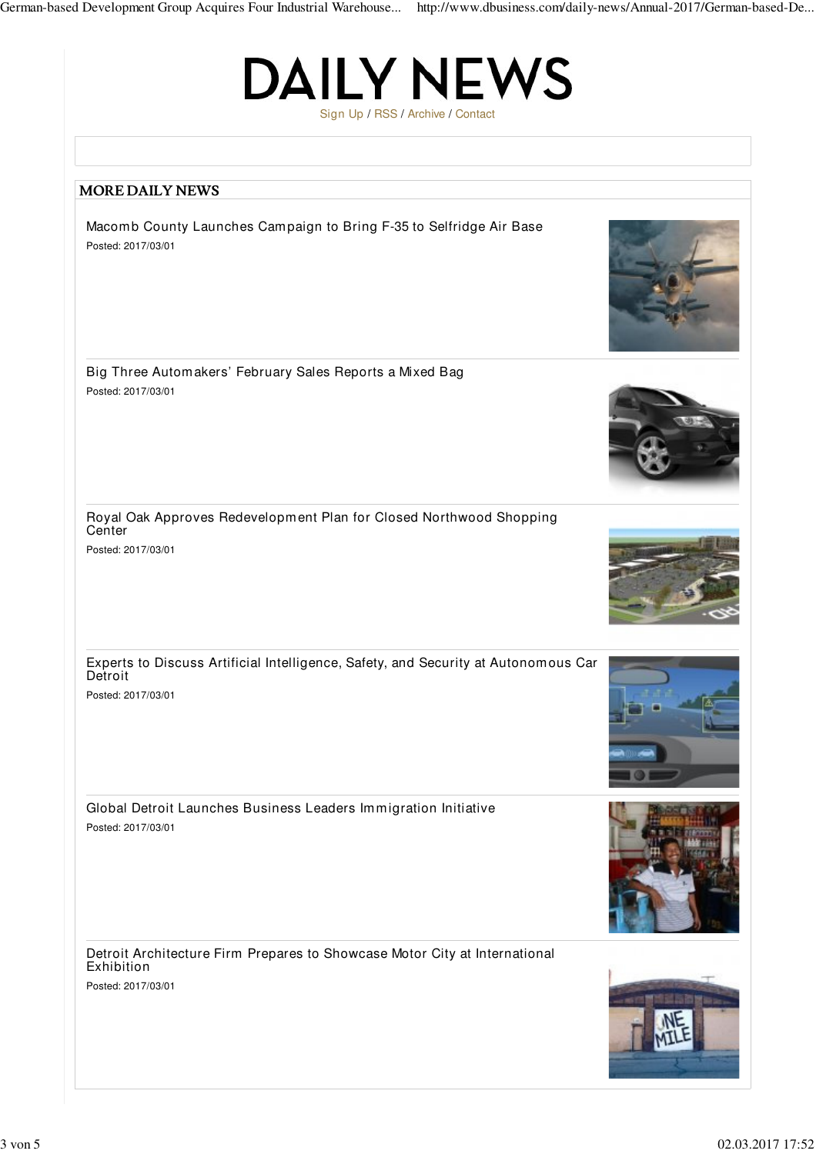German-based Development Group Acquires Four Industrial Warehouse... http://www.dbusiness.com/daily-news/Annual-2017/German-based-De...

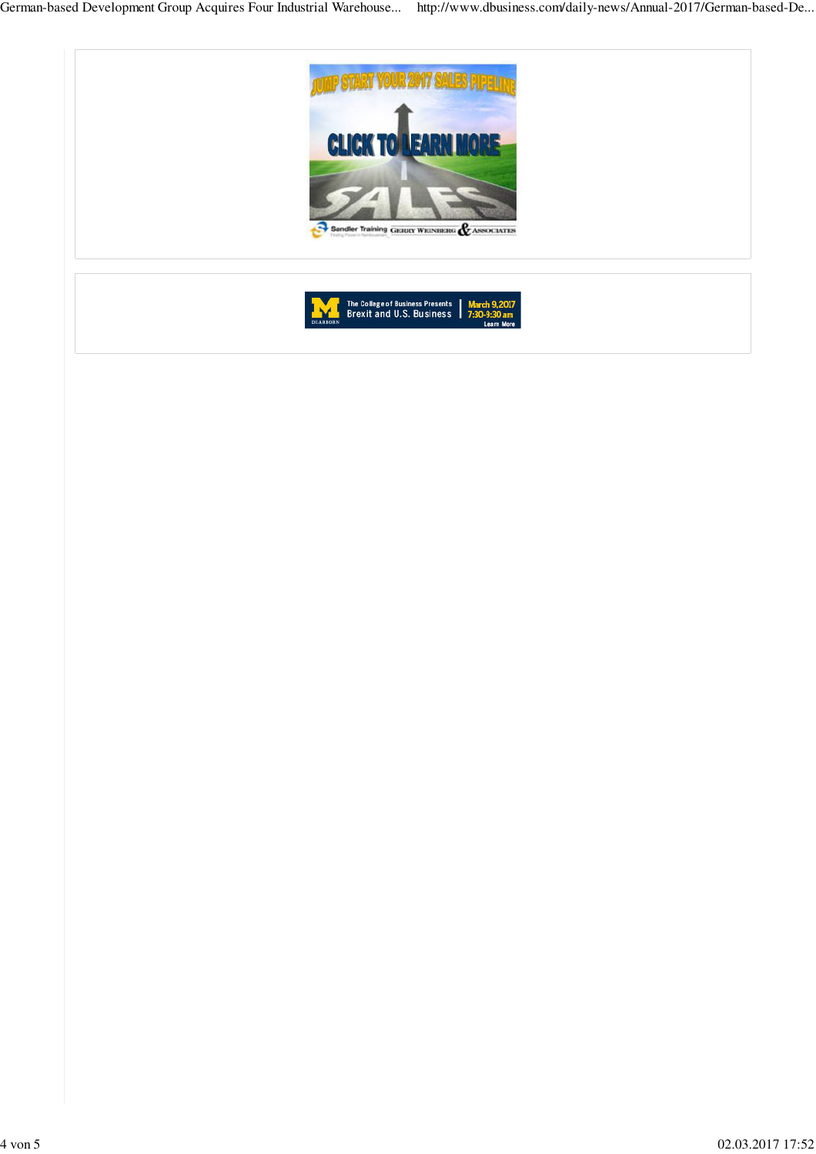